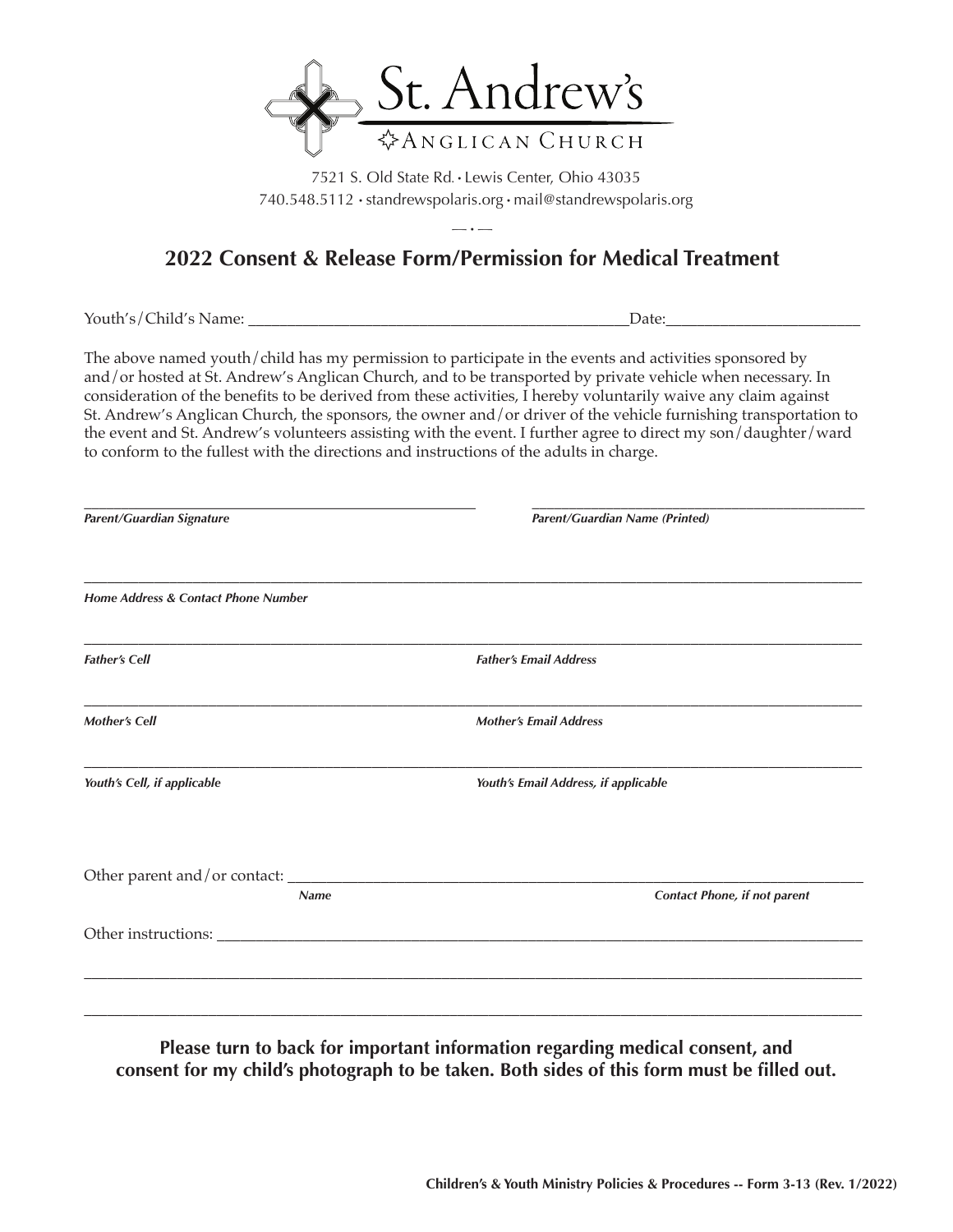

7521 S. Old State Rd. • Lewis Center, Ohio 43035 740.548.5112 • standrewspolaris.org • mail@standrewspolaris.org

## $-\cdot -$ **2022 Consent & Release Form/Permission for Medical Treatment**

Youth's/Child's Name: \_\_\_\_\_\_\_\_\_\_\_\_\_\_\_\_\_\_\_\_\_\_\_\_\_\_\_\_\_\_\_\_\_\_\_\_\_\_\_\_\_\_\_\_\_\_\_\_\_Date:\_\_\_\_\_\_\_\_\_\_\_\_\_\_\_\_\_\_\_\_\_\_\_\_\_

The above named youth/child has my permission to participate in the events and activities sponsored by and/or hosted at St. Andrew's Anglican Church, and to be transported by private vehicle when necessary. In consideration of the benefits to be derived from these activities,  $\overline{I}$  hereby voluntarily waive any claim against St. Andrew's Anglican Church, the sponsors, the owner and/or driver of the vehicle furnishing transportation to the event and St. Andrew's volunteers assisting with the event. I further agree to direct my son/daughter/ward to conform to the fullest with the directions and instructions of the adults in charge.

| Parent/Guardian Name (Printed)       |
|--------------------------------------|
|                                      |
| <b>Father's Email Address</b>        |
| <b>Mother's Email Address</b>        |
| Youth's Email Address, if applicable |
| Contact Phone, if not parent         |
|                                      |
|                                      |
|                                      |

**Please turn to back for important information regarding medical consent, and consent for my child's photograph to be taken. Both sides of this form must be filled out.**